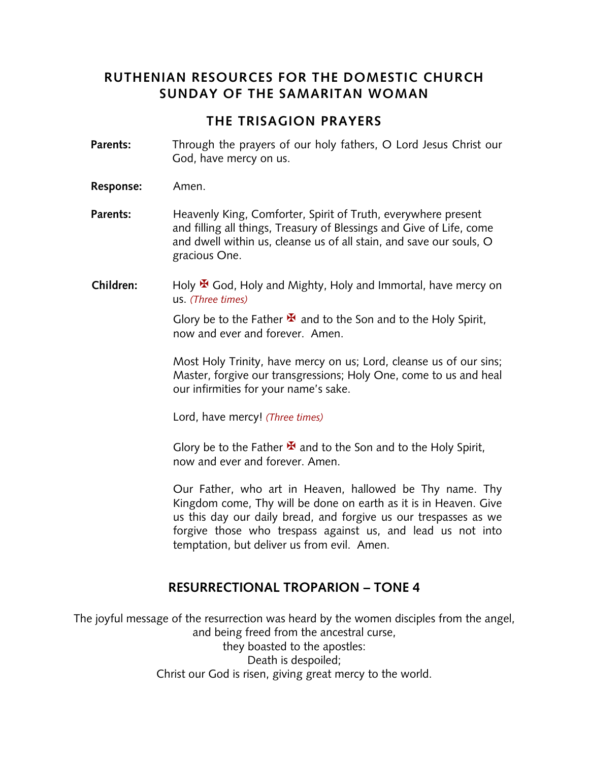## **RUTHENIAN RESOURCES FOR THE DOMESTIC CHURCH SUNDAY OF THE SAMARITAN WOMAN**

## **THE TRISAGION PRAYERS**

- **Parents:** Through the prayers of our holy fathers, O Lord Jesus Christ our God, have mercy on us.
- **Response:** Amen.
- **Parents:** Heavenly King, Comforter, Spirit of Truth, everywhere present and filling all things, Treasury of Blessings and Give of Life, come and dwell within us, cleanse us of all stain, and save our souls, O gracious One.
- **Children:** Holy <sup>★</sup> God, Holy and Mighty, Holy and Immortal, have mercy on us. *(Three times)*

Glory be to the Father  $\mathbf{\mathbf{\mathbf{\mathsf{F}}} }$  and to the Son and to the Holy Spirit, now and ever and forever. Amen.

Most Holy Trinity, have mercy on us; Lord, cleanse us of our sins; Master, forgive our transgressions; Holy One, come to us and heal our infirmities for your name's sake.

Lord, have mercy! *(Three times)*

Glory be to the Father  $\mathbf{\Sigma}$  and to the Son and to the Holy Spirit, now and ever and forever. Amen.

Our Father, who art in Heaven, hallowed be Thy name. Thy Kingdom come, Thy will be done on earth as it is in Heaven. Give us this day our daily bread, and forgive us our trespasses as we forgive those who trespass against us, and lead us not into temptation, but deliver us from evil. Amen.

## **RESURRECTIONAL TROPARION – TONE 4**

The joyful message of the resurrection was heard by the women disciples from the angel, and being freed from the ancestral curse, they boasted to the apostles: Death is despoiled; Christ our God is risen, giving great mercy to the world.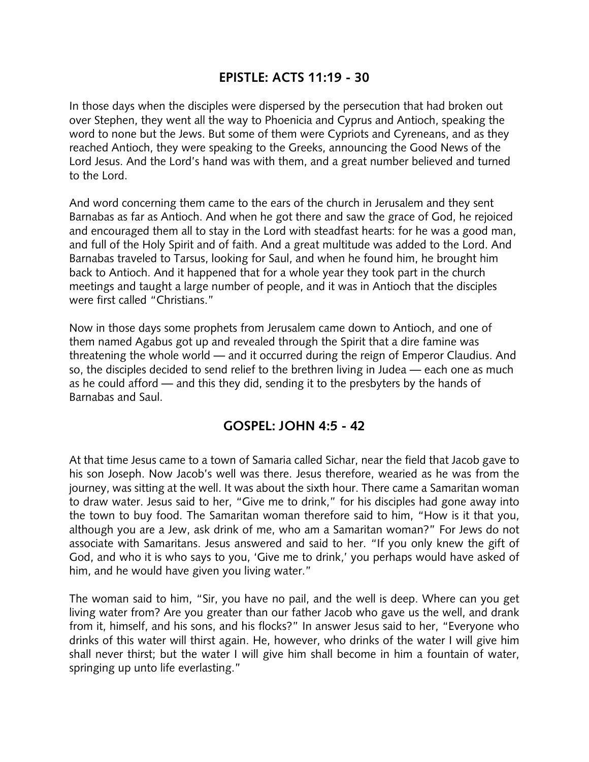## **EPISTLE: ACTS 11:19 - 30**

In those days when the disciples were dispersed by the persecution that had broken out over Stephen, they went all the way to Phoenicia and Cyprus and Antioch, speaking the word to none but the Jews. But some of them were Cypriots and Cyreneans, and as they reached Antioch, they were speaking to the Greeks, announcing the Good News of the Lord Jesus. And the Lord's hand was with them, and a great number believed and turned to the Lord.

And word concerning them came to the ears of the church in Jerusalem and they sent Barnabas as far as Antioch. And when he got there and saw the grace of God, he rejoiced and encouraged them all to stay in the Lord with steadfast hearts: for he was a good man, and full of the Holy Spirit and of faith. And a great multitude was added to the Lord. And Barnabas traveled to Tarsus, looking for Saul, and when he found him, he brought him back to Antioch. And it happened that for a whole year they took part in the church meetings and taught a large number of people, and it was in Antioch that the disciples were first called "Christians."

Now in those days some prophets from Jerusalem came down to Antioch, and one of them named Agabus got up and revealed through the Spirit that a dire famine was threatening the whole world — and it occurred during the reign of Emperor Claudius. And so, the disciples decided to send relief to the brethren living in Judea — each one as much as he could afford — and this they did, sending it to the presbyters by the hands of Barnabas and Saul.

## **GOSPEL: JOHN 4:5 - 42**

At that time Jesus came to a town of Samaria called Sichar, near the field that Jacob gave to his son Joseph. Now Jacob's well was there. Jesus therefore, wearied as he was from the journey, was sitting at the well. It was about the sixth hour. There came a Samaritan woman to draw water. Jesus said to her, "Give me to drink," for his disciples had gone away into the town to buy food. The Samaritan woman therefore said to him, "How is it that you, although you are a Jew, ask drink of me, who am a Samaritan woman?" For Jews do not associate with Samaritans. Jesus answered and said to her. "If you only knew the gift of God, and who it is who says to you, 'Give me to drink,' you perhaps would have asked of him, and he would have given you living water."

The woman said to him, "Sir, you have no pail, and the well is deep. Where can you get living water from? Are you greater than our father Jacob who gave us the well, and drank from it, himself, and his sons, and his flocks?" In answer Jesus said to her, "Everyone who drinks of this water will thirst again. He, however, who drinks of the water I will give him shall never thirst; but the water I will give him shall become in him a fountain of water, springing up unto life everlasting."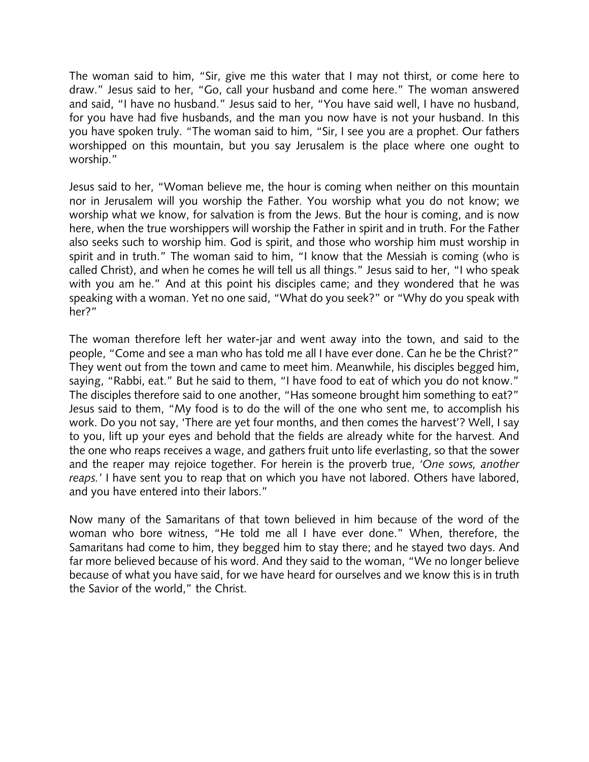The woman said to him, "Sir, give me this water that I may not thirst, or come here to draw." Jesus said to her, "Go, call your husband and come here." The woman answered and said, "I have no husband." Jesus said to her, "You have said well, I have no husband, for you have had five husbands, and the man you now have is not your husband. In this you have spoken truly. "The woman said to him, "Sir, I see you are a prophet. Our fathers worshipped on this mountain, but you say Jerusalem is the place where one ought to worship."

Jesus said to her, "Woman believe me, the hour is coming when neither on this mountain nor in Jerusalem will you worship the Father. You worship what you do not know; we worship what we know, for salvation is from the Jews. But the hour is coming, and is now here, when the true worshippers will worship the Father in spirit and in truth. For the Father also seeks such to worship him. God is spirit, and those who worship him must worship in spirit and in truth." The woman said to him, "I know that the Messiah is coming (who is called Christ), and when he comes he will tell us all things." Jesus said to her, "I who speak with you am he." And at this point his disciples came; and they wondered that he was speaking with a woman. Yet no one said, "What do you seek?" or "Why do you speak with her?"

The woman therefore left her water-jar and went away into the town, and said to the people, "Come and see a man who has told me all I have ever done. Can he be the Christ?" They went out from the town and came to meet him. Meanwhile, his disciples begged him, saying, "Rabbi, eat." But he said to them, "I have food to eat of which you do not know." The disciples therefore said to one another, "Has someone brought him something to eat?" Jesus said to them, "My food is to do the will of the one who sent me, to accomplish his work. Do you not say, 'There are yet four months, and then comes the harvest'? Well, I say to you, lift up your eyes and behold that the fields are already white for the harvest. And the one who reaps receives a wage, and gathers fruit unto life everlasting, so that the sower and the reaper may rejoice together. For herein is the proverb true, *'One sows, another reaps.'* I have sent you to reap that on which you have not labored. Others have labored, and you have entered into their labors."

Now many of the Samaritans of that town believed in him because of the word of the woman who bore witness, "He told me all I have ever done." When, therefore, the Samaritans had come to him, they begged him to stay there; and he stayed two days. And far more believed because of his word. And they said to the woman, "We no longer believe because of what you have said, for we have heard for ourselves and we know this is in truth the Savior of the world," the Christ.